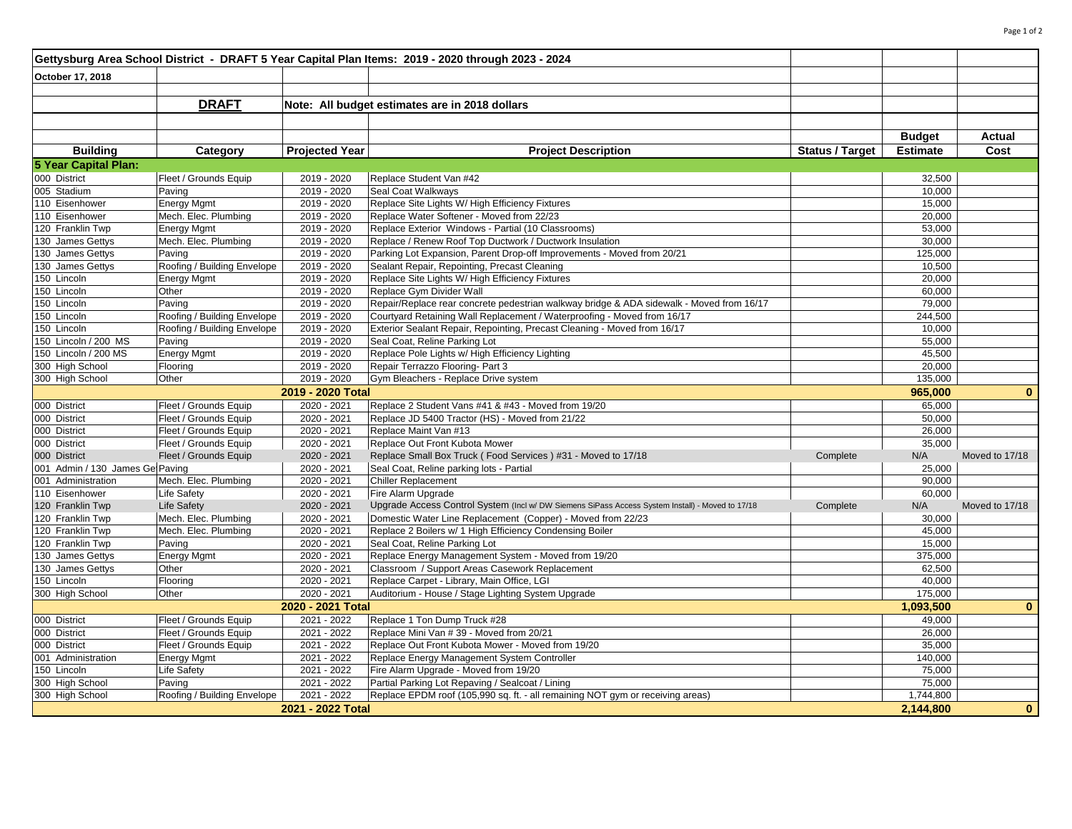|                                    |                                       |                            | Gettysburg Area School District - DRAFT 5 Year Capital Plan Items: 2019 - 2020 through 2023 - 2024                                 |                        |                     |                |  |  |
|------------------------------------|---------------------------------------|----------------------------|------------------------------------------------------------------------------------------------------------------------------------|------------------------|---------------------|----------------|--|--|
| October 17, 2018                   |                                       |                            |                                                                                                                                    |                        |                     |                |  |  |
|                                    |                                       |                            |                                                                                                                                    |                        |                     |                |  |  |
|                                    | <b>DRAFT</b>                          |                            | Note: All budget estimates are in 2018 dollars                                                                                     |                        |                     |                |  |  |
|                                    |                                       |                            |                                                                                                                                    |                        |                     |                |  |  |
|                                    |                                       |                            |                                                                                                                                    |                        |                     |                |  |  |
|                                    |                                       |                            |                                                                                                                                    |                        | <b>Budget</b>       | Actual         |  |  |
| <b>Building</b>                    | Category                              | <b>Projected Year</b>      | <b>Project Description</b>                                                                                                         | <b>Status / Target</b> | <b>Estimate</b>     | Cost           |  |  |
| 5 Year Capital Plan:               |                                       |                            |                                                                                                                                    |                        |                     |                |  |  |
| 000 District                       | Fleet / Grounds Equip                 | 2019 - 2020                | Replace Student Van #42                                                                                                            |                        | 32,500              |                |  |  |
| 005 Stadium                        | Paving                                | 2019 - 2020                | Seal Coat Walkways                                                                                                                 |                        | 10,000              |                |  |  |
| 110 Eisenhower                     | <b>Energy Mgmt</b>                    | 2019 - 2020                | Replace Site Lights W/ High Efficiency Fixtures                                                                                    |                        | 15,000              |                |  |  |
| 110 Eisenhower                     | Mech. Elec. Plumbing                  | 2019 - 2020                | Replace Water Softener - Moved from 22/23                                                                                          |                        | 20,000              |                |  |  |
| 120 Franklin Twp                   | <b>Energy Mgmt</b>                    | 2019 - 2020                | Replace Exterior Windows - Partial (10 Classrooms)                                                                                 |                        | 53,000              |                |  |  |
| 130 James Gettys                   | Mech. Elec. Plumbing                  | 2019 - 2020                | Replace / Renew Roof Top Ductwork / Ductwork Insulation                                                                            |                        | 30,000              |                |  |  |
| 130 James Gettys                   | Paving                                | 2019 - 2020                | Parking Lot Expansion, Parent Drop-off Improvements - Moved from 20/21                                                             |                        | 125,000             |                |  |  |
| 130 James Gettys                   | Roofing / Building Envelope           | 2019 - 2020                | Sealant Repair, Repointing, Precast Cleaning                                                                                       |                        | 10,500              |                |  |  |
| 150 Lincoln                        | <b>Energy Mgmt</b>                    | 2019 - 2020                | Replace Site Lights W/ High Efficiency Fixtures                                                                                    |                        | 20,000              |                |  |  |
| 150 Lincoln                        | Other                                 | 2019 - 2020                | Replace Gym Divider Wall                                                                                                           |                        | 60,000              |                |  |  |
| 150 Lincoln                        | Paving                                | 2019 - 2020                | Repair/Replace rear concrete pedestrian walkway bridge & ADA sidewalk - Moved from 16/17                                           |                        | 79,000              |                |  |  |
| 150 Lincoln                        | Roofing / Building Envelope           | 2019 - 2020                | Courtyard Retaining Wall Replacement / Waterproofing - Moved from 16/17                                                            |                        | 244,500             |                |  |  |
| 150 Lincoln                        | Roofing / Building Envelope           | 2019 - 2020                | Exterior Sealant Repair, Repointing, Precast Cleaning - Moved from 16/17                                                           |                        | 10,000              |                |  |  |
| 150 Lincoln / 200 MS               | Paving                                | 2019 - 2020                | Seal Coat, Reline Parking Lot                                                                                                      |                        | 55,000              |                |  |  |
| 150 Lincoln / 200 MS               | <b>Energy Mgmt</b>                    | 2019 - 2020                | Replace Pole Lights w/ High Efficiency Lighting                                                                                    |                        | 45,500              |                |  |  |
| 300 High School                    | Flooring                              | $2019 - 2020$              | Repair Terrazzo Flooring- Part 3                                                                                                   |                        | 20,000              |                |  |  |
| 300 High School                    | Other                                 | 2019 - 2020                | Gym Bleachers - Replace Drive system                                                                                               |                        | 135,000             |                |  |  |
|                                    |                                       | 2019 - 2020 Total          |                                                                                                                                    |                        | 965,000             | $\bf{0}$       |  |  |
| 000 District                       | Fleet / Grounds Equip                 | 2020 - 2021                | Replace 2 Student Vans #41 & #43 - Moved from 19/20                                                                                |                        | 65,000              |                |  |  |
| 000 District                       | Fleet / Grounds Equip                 | 2020 - 2021                | Replace JD 5400 Tractor (HS) - Moved from 21/22                                                                                    |                        | 50,000              |                |  |  |
| 000 District                       | Fleet / Grounds Equip                 | 2020 - 2021                | Replace Maint Van #13                                                                                                              |                        | 26,000              |                |  |  |
|                                    |                                       |                            | Replace Out Front Kubota Mower                                                                                                     |                        |                     |                |  |  |
| 000 District                       | Fleet / Grounds Equip                 | 2020 - 2021                |                                                                                                                                    |                        | 35,000              |                |  |  |
| 000 District                       | Fleet / Grounds Equip                 | 2020 - 2021                | Replace Small Box Truck (Food Services) #31 - Moved to 17/18                                                                       | Complete               | N/A                 | Moved to 17/18 |  |  |
| 001 Admin / 130 James Ge Paving    |                                       | 2020 - 2021                | Seal Coat, Reline parking lots - Partial                                                                                           |                        | 25,000              |                |  |  |
| 001 Administration                 | Mech. Elec. Plumbing                  | 2020 - 2021                | <b>Chiller Replacement</b>                                                                                                         |                        | 90,000              |                |  |  |
| 110 Eisenhower                     | <b>Life Safety</b>                    | 2020 - 2021                | Fire Alarm Upgrade                                                                                                                 |                        | 60,000              |                |  |  |
| 120 Franklin Twp                   | <b>Life Safety</b>                    | 2020 - 2021                | Upgrade Access Control System (Incl w/ DW Siemens SiPass Access System Install) - Moved to 17/18                                   | Complete               | N/A                 | Moved to 17/18 |  |  |
| 120 Franklin Twp                   | Mech. Elec. Plumbing                  | 2020 - 2021                | Domestic Water Line Replacement (Copper) - Moved from 22/23                                                                        |                        | 30,000              |                |  |  |
| 120 Franklin Twp                   | Mech. Elec. Plumbing                  | 2020 - 2021                | Replace 2 Boilers w/ 1 High Efficiency Condensing Boiler                                                                           |                        | 45,000              |                |  |  |
| 120 Franklin Twp                   | Paving                                | 2020 - 2021                | Seal Coat, Reline Parking Lot                                                                                                      |                        | 15,000              |                |  |  |
| 130 James Gettys                   | <b>Energy Mgmt</b>                    | 2020 - 2021                | Replace Energy Management System - Moved from 19/20                                                                                |                        | 375,000             |                |  |  |
| 130 James Gettys                   | Other                                 | 2020 - 2021                | Classroom / Support Areas Casework Replacement                                                                                     |                        | 62,500              |                |  |  |
| 150 Lincoln                        | Flooring                              | 2020 - 2021                | Replace Carpet - Library, Main Office, LGI                                                                                         |                        | 40,000              |                |  |  |
| 300 High School                    | Other                                 | 2020 - 2021                | Auditorium - House / Stage Lighting System Upgrade                                                                                 |                        | 175,000             |                |  |  |
|                                    |                                       | 2020 - 2021 Total          |                                                                                                                                    |                        | 1,093,500           | $\mathbf{0}$   |  |  |
| 000 District                       | Fleet / Grounds Equip                 | 2021 - 2022                | Replace 1 Ton Dump Truck #28                                                                                                       |                        | 49,000              |                |  |  |
| 000 District                       | Fleet / Grounds Equip                 | 2021 - 2022                | Replace Mini Van #39 - Moved from 20/21                                                                                            |                        | 26,000              |                |  |  |
| 000 District                       | Fleet / Grounds Equip                 | 2021 - 2022                | Replace Out Front Kubota Mower - Moved from 19/20                                                                                  |                        | 35,000              |                |  |  |
| 001 Administration                 | <b>Energy Mgmt</b>                    | 2021 - 2022                | Replace Energy Management System Controller                                                                                        |                        | 140,000             |                |  |  |
| 150 Lincoln                        | Life Safety                           | 2021 - 2022                | Fire Alarm Upgrade - Moved from 19/20                                                                                              |                        | 75,000              |                |  |  |
| 300 High School<br>300 High School | Paving<br>Roofing / Building Envelope | 2021 - 2022<br>2021 - 2022 | Partial Parking Lot Repaving / Sealcoat / Lining<br>Replace EPDM roof (105,990 sq. ft. - all remaining NOT gym or receiving areas) |                        | 75,000<br>1,744,800 |                |  |  |